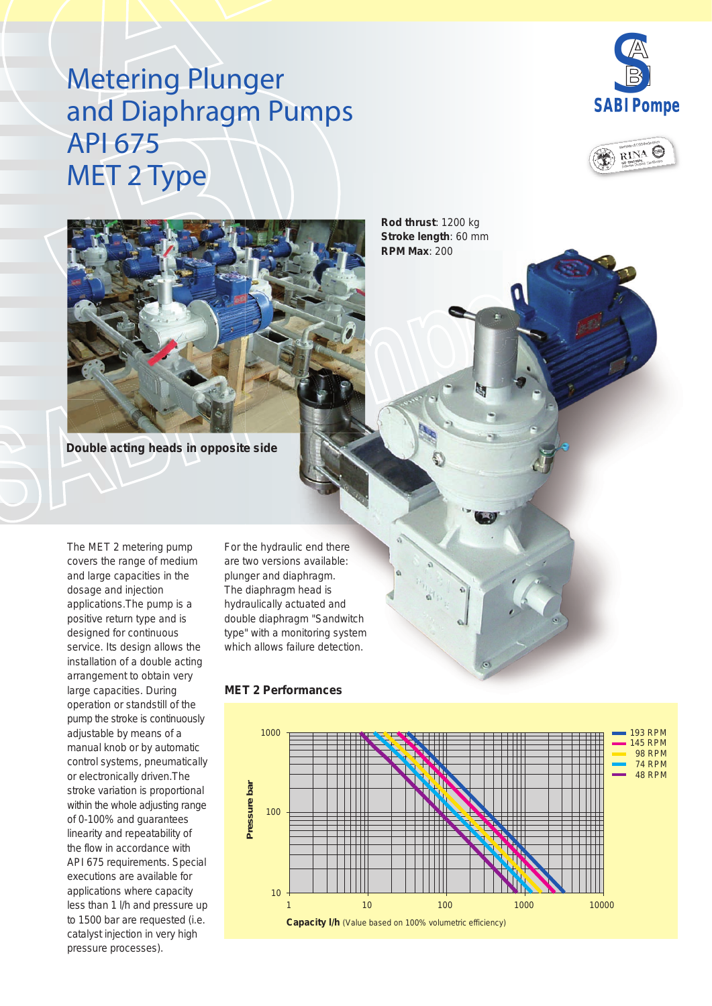# Metering Plunger and Diaphragm Pumps API 675 MET 2 Type







**Rod thrust**: 1200 kg **Stroke length**: 60 mm **RPM Max**: 200

**Double acting heads in opposite side**

The MET 2 metering pump covers the range of medium and large capacities in the dosage and injection applications.The pump is a positive return type and is designed for continuous service. Its design allows the installation of a double acting arrangement to obtain very large capacities. During operation or standstill of the pump the stroke is continuously adjustable by means of a manual knob or by automatic control systems, pneumatically or electronically driven.The stroke variation is proportional within the whole adjusting range of 0-100% and guarantees linearity and repeatability of the flow in accordance with API 675 requirements. Special executions are available for applications where capacity less than 1 l/h and pressure up to 1500 bar are requested (i.e. catalyst injection in very high pressure processes).

For the hydraulic end there are two versions available: plunger and diaphragm. The diaphragm head is hydraulically actuated and double diaphragm "Sandwitch type" with a monitoring system which allows failure detection.

### 1000 193 RPM 145 RPM 98 RPM 74 RPM 48 RPM **Pressure bar** Pressure bar 100 10 1000 10000 1 10 100 **Capacity l/h** *(Value based on 100% volumetric efficiency)*

#### **MET 2 Performances**